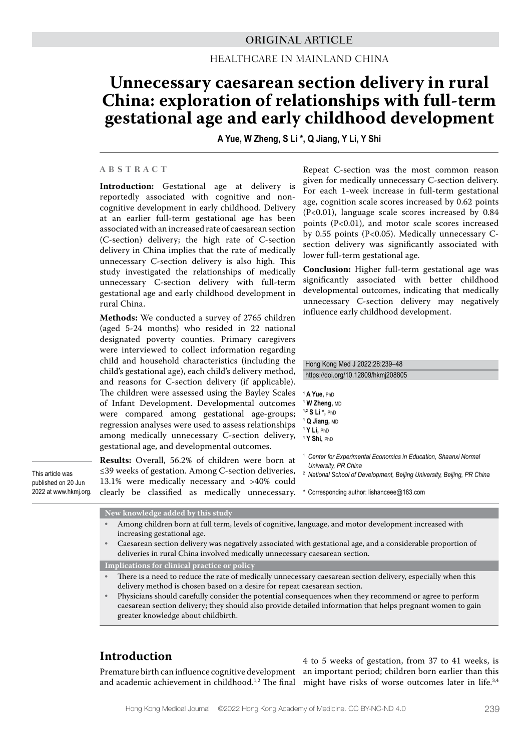# Healthcare in Mainland China

# **Unnecessary caesarean section delivery in rural China: exploration of relationships with full-term gestational age and early childhood development**

**A Yue, W Zheng, S Li \*, Q Jiang, Y Li, Y Shi**

### **ABSTRACT**

**Introduction:** Gestational age at delivery is reportedly associated with cognitive and noncognitive development in early childhood. Delivery at an earlier full-term gestational age has been associated with an increased rate of caesarean section (C-section) delivery; the high rate of C-section delivery in China implies that the rate of medically unnecessary C-section delivery is also high. This study investigated the relationships of medically unnecessary C-section delivery with full-term gestational age and early childhood development in rural China.

**Methods:** We conducted a survey of 2765 children (aged 5-24 months) who resided in 22 national designated poverty counties. Primary caregivers were interviewed to collect information regarding child and household characteristics (including the child's gestational age), each child's delivery method, and reasons for C-section delivery (if applicable). The children were assessed using the Bayley Scales of Infant Development. Developmental outcomes were compared among gestational age-groups; regression analyses were used to assess relationships among medically unnecessary C-section delivery, gestational age, and developmental outcomes.

This article was published on 20 Jun 2022 at www.hkmj.org. **Results:** Overall, 56.2% of children were born at ≤39 weeks of gestation. Among C-section deliveries, 13.1% were medically necessary and >40% could clearly be classified as medically unnecessary. \* Corresponding author: lishanceee@163.com

Repeat C-section was the most common reason given for medically unnecessary C-section delivery. For each 1-week increase in full-term gestational age, cognition scale scores increased by 0.62 points (P<0.01), language scale scores increased by 0.84 points (P<0.01), and motor scale scores increased by 0.55 points (P<0.05). Medically unnecessary Csection delivery was significantly associated with lower full-term gestational age.

**Conclusion:** Higher full-term gestational age was significantly associated with better childhood developmental outcomes, indicating that medically unnecessary C-section delivery may negatively influence early childhood development.

#### Hong Kong Med J 2022;28:239–48 https://doi.org/10.12809/hkmj208805

- **1 A Yue,** PhD **1 W Zheng,** MD **1,2 S Li \*,** PhD **1 Q Jiang,** MD **1 Y Li,** PhD **1 Y Shi,** PhD
- <sup>1</sup> *Center for Experimental Economics in Education, Shaanxi Normal University, PR China*
- <sup>2</sup> *National School of Development, Beijing University, Beijing, PR China*
- 

**New knowledge added by this study**

- Among children born at full term, levels of cognitive, language, and motor development increased with increasing gestational age.
- Caesarean section delivery was negatively associated with gestational age, and a considerable proportion of deliveries in rural China involved medically unnecessary caesarean section.

**Implications for clinical practice or policy**

- There is a need to reduce the rate of medically unnecessary caesarean section delivery, especially when this delivery method is chosen based on a desire for repeat caesarean section.
- Physicians should carefully consider the potential consequences when they recommend or agree to perform caesarean section delivery; they should also provide detailed information that helps pregnant women to gain greater knowledge about childbirth.

# **Introduction**

Premature birth can influence cognitive development an important period; children born earlier than this and academic achievement in childhood.<sup>1,2</sup> The final might have risks of worse outcomes later in life.<sup>3,4</sup> 4 to 5 weeks of gestation, from 37 to 41 weeks, is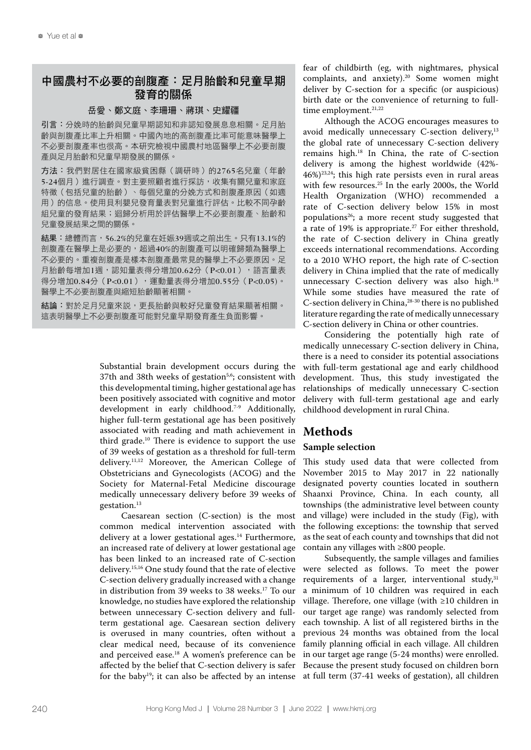# 中國農村不必要的剖腹產:足月胎齡和兒童早期 發育的關係

#### 岳愛、鄭文庭、李珊珊、蔣琪、史耀疆

引言:分娩時的胎齡與兒童早期認知和非認知發展息息相關。足月胎 齡與剖腹產比率上升相關。中國內地的高剖腹產比率可能意味醫學上 不必要剖腹產率也很高。本研究檢視中國農村地區醫學上不必要剖腹 產與足月胎齡和兒童早期發展的關係。

方法:我們對居住在國家級貧困縣(調研時)的2765名兒童(年齡 5-24個月)進行調查。對主要照顧者進行採訪,收集有關兒童和家庭 特徵(包括兒童的胎齡)、每個兒童的分娩方式和剖腹產原因(如適 用)的信息。使用貝利嬰兒發育量表對兒童進行評估。比較不同孕齡 組兒童的發育結果;迴歸分析用於評估醫學上不必要剖腹產、胎齡和 兒童發展結果之間的關係。

結果:總體而言,56.2%的兒童在妊娠39週或之前出生。只有13.1%的 剖腹產在醫學上是必要的,超過40%的剖腹產可以明確歸類為醫學上 不必要的。重複剖腹產是樣本剖腹產最常見的醫學上不必要原因。足 月胎齡每增加1週,認知量表得分增加0.62分(P<0.01),語言量表 得分增加0.84分(P<0.01),運動量表得分增加0.55分(P<0.05)。 醫學上不必要剖腹產與縮短胎齡顯著相關。

結論:對於足月兒童來説,更長胎齡與較好兒童發育結果顯著相關。 這表明醫學上不必要剖腹產可能對兒童早期發育產生負面影響。

> Substantial brain development occurs during the 37th and 38th weeks of gestation<sup>5,6</sup>; consistent with this developmental timing, higher gestational age has been positively associated with cognitive and motor development in early childhood.<sup>7-9</sup> Additionally, higher full-term gestational age has been positively associated with reading and math achievement in third grade.<sup>10</sup> There is evidence to support the use of 39 weeks of gestation as a threshold for full-term delivery.11,12 Moreover, the American College of Obstetricians and Gynecologists (ACOG) and the Society for Maternal-Fetal Medicine discourage medically unnecessary delivery before 39 weeks of gestation.13

> Caesarean section (C-section) is the most common medical intervention associated with delivery at a lower gestational ages.<sup>14</sup> Furthermore, an increased rate of delivery at lower gestational age has been linked to an increased rate of C-section delivery.15,16 One study found that the rate of elective C-section delivery gradually increased with a change in distribution from 39 weeks to 38 weeks.<sup>17</sup> To our knowledge, no studies have explored the relationship between unnecessary C-section delivery and fullterm gestational age. Caesarean section delivery is overused in many countries, often without a clear medical need, because of its convenience and perceived ease.<sup>18</sup> A women's preference can be affected by the belief that C-section delivery is safer for the baby19; it can also be affected by an intense

fear of childbirth (eg, with nightmares, physical complaints, and anxiety).<sup>20</sup> Some women might deliver by C-section for a specific (or auspicious) birth date or the convenience of returning to fulltime employment.<sup>21,22</sup>

Although the ACOG encourages measures to avoid medically unnecessary C-section delivery,<sup>13</sup> the global rate of unnecessary C-section delivery remains high.18 In China, the rate of C-section delivery is among the highest worldwide (42%-  $46\%$ <sup>23,24</sup>; this high rate persists even in rural areas with few resources.25 In the early 2000s, the World Health Organization (WHO) recommended a rate of C-section delivery below 15% in most populations26; a more recent study suggested that a rate of 19% is appropriate.27 For either threshold, the rate of C-section delivery in China greatly exceeds international recommendations. According to a 2010 WHO report, the high rate of C-section delivery in China implied that the rate of medically unnecessary C-section delivery was also high.<sup>18</sup> While some studies have measured the rate of C-section delivery in China,<sup>28-30</sup> there is no published literature regarding the rate of medically unnecessary C-section delivery in China or other countries.

Considering the potentially high rate of medically unnecessary C-section delivery in China, there is a need to consider its potential associations with full-term gestational age and early childhood development. Thus, this study investigated the relationships of medically unnecessary C-section delivery with full-term gestational age and early childhood development in rural China.

# **Methods**

### **Sample selection**

This study used data that were collected from November 2015 to May 2017 in 22 nationally designated poverty counties located in southern Shaanxi Province, China. In each county, all townships (the administrative level between county and village) were included in the study (Fig), with the following exceptions: the township that served as the seat of each county and townships that did not contain any villages with ≥800 people.

Subsequently, the sample villages and families were selected as follows. To meet the power requirements of a larger, interventional study, $31$ a minimum of 10 children was required in each village. Therefore, one village (with ≥10 children in our target age range) was randomly selected from each township. A list of all registered births in the previous 24 months was obtained from the local family planning official in each village. All children in our target age range (5-24 months) were enrolled. Because the present study focused on children born at full term (37-41 weeks of gestation), all children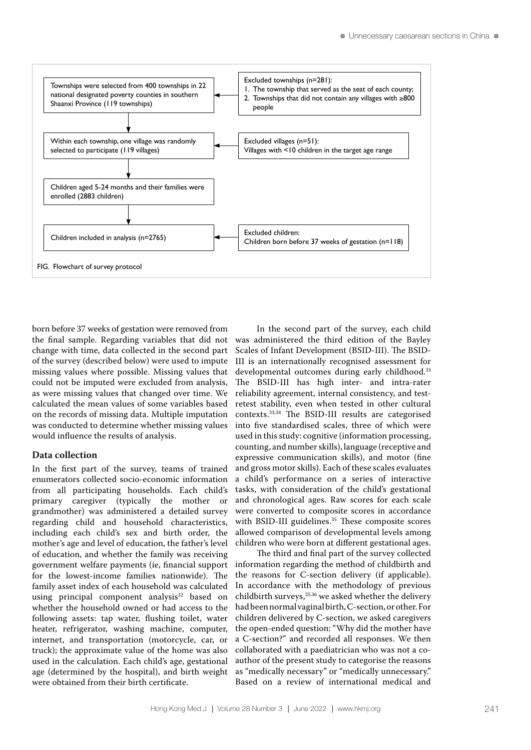

born before 37 weeks of gestation were removed from the final sample. Regarding variables that did not change with time, data collected in the second part of the survey (described below) were used to impute missing values where possible. Missing values that could not be imputed were excluded from analysis, as were missing values that changed over time. We calculated the mean values of some variables based on the records of missing data. Multiple imputation was conducted to determine whether missing values would influence the results of analysis.

### **Data collection**

In the first part of the survey, teams of trained enumerators collected socio-economic information from all participating households. Each child's primary caregiver (typically the mother or grandmother) was administered a detailed survey regarding child and household characteristics, including each child's sex and birth order, the mother's age and level of education, the father's level of education, and whether the family was receiving government welfare payments (ie, financial support for the lowest-income families nationwide). The family asset index of each household was calculated using principal component analysis<sup>32</sup> based on whether the household owned or had access to the following assets: tap water, flushing toilet, water heater, refrigerator, washing machine, computer, internet, and transportation (motorcycle, car, or truck); the approximate value of the home was also used in the calculation. Each child's age, gestational age (determined by the hospital), and birth weight were obtained from their birth certificate.

In the second part of the survey, each child was administered the third edition of the Bayley Scales of Infant Development (BSID-III). The BSID-III is an internationally recognised assessment for developmental outcomes during early childhood.<sup>33</sup> The BSID-III has high inter- and intra-rater reliability agreement, internal consistency, and testretest stability, even when tested in other cultural contexts.33,34 The BSID-III results are categorised into five standardised scales, three of which were used in this study: cognitive (information processing, counting, and number skills), language (receptive and expressive communication skills), and motor (fine and gross motor skills). Each of these scales evaluates a child's performance on a series of interactive tasks, with consideration of the child's gestational and chronological ages. Raw scores for each scale were converted to composite scores in accordance with BSID-III guidelines.<sup>35</sup> These composite scores allowed comparison of developmental levels among children who were born at different gestational ages.

The third and final part of the survey collected information regarding the method of childbirth and the reasons for C-section delivery (if applicable). In accordance with the methodology of previous childbirth surveys, $25,36$  we asked whether the delivery had been normal vaginal birth, C-section, or other. For children delivered by C-section, we asked caregivers the open-ended question: "Why did the mother have a C-section?" and recorded all responses. We then collaborated with a paediatrician who was not a coauthor of the present study to categorise the reasons as "medically necessary" or "medically unnecessary." Based on a review of international medical and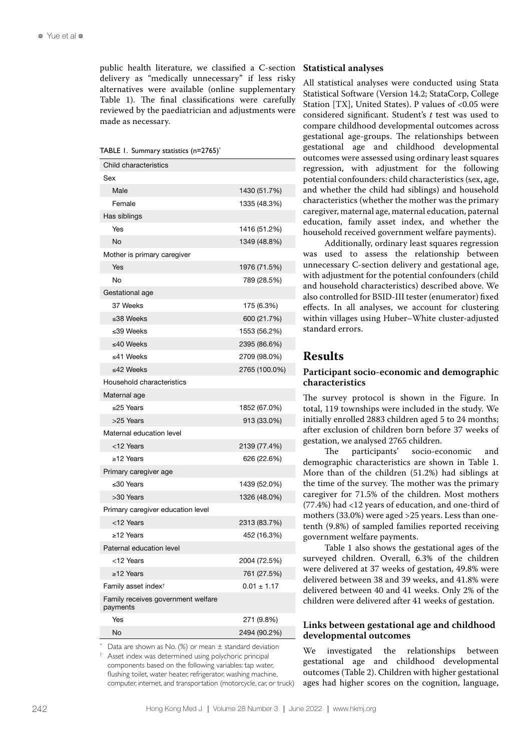public health literature, we classified a C-section delivery as "medically unnecessary" if less risky alternatives were available (online supplementary Table 1). The final classifications were carefully reviewed by the paediatrician and adjustments were made as necessary.

TABLE 1. Summary statistics (n=2765)\*

| Child characteristics                          |                 |
|------------------------------------------------|-----------------|
| Sex                                            |                 |
| Male                                           | 1430 (51.7%)    |
| Female                                         | 1335 (48.3%)    |
| Has siblings                                   |                 |
| Yes                                            | 1416 (51.2%)    |
| <b>No</b>                                      | 1349 (48.8%)    |
| Mother is primary caregiver                    |                 |
| Yes                                            | 1976 (71.5%)    |
| No                                             | 789 (28.5%)     |
| Gestational age                                |                 |
| 37 Weeks                                       | 175 (6.3%)      |
| ≤38 Weeks                                      | 600 (21.7%)     |
| ≤39 Weeks                                      | 1553 (56.2%)    |
| ≤40 Weeks                                      | 2395 (86.6%)    |
| ≤41 Weeks                                      | 2709 (98.0%)    |
| ≤42 Weeks                                      | 2765 (100.0%)   |
| Household characteristics                      |                 |
| Maternal age                                   |                 |
| ≤25 Years                                      | 1852 (67.0%)    |
| >25 Years                                      | 913 (33.0%)     |
| Maternal education level                       |                 |
| <12 Years                                      | 2139 (77.4%)    |
| $\ge$ 12 Years                                 | 626 (22.6%)     |
| Primary caregiver age                          |                 |
| ≤30 Years                                      | 1439 (52.0%)    |
| >30 Years                                      | 1326 (48.0%)    |
| Primary caregiver education level              |                 |
| <12 Years                                      | 2313 (83.7%)    |
| $\ge$ 12 Years                                 | 452 (16.3%)     |
| Paternal education level                       |                 |
| <12 Years                                      | 2004 (72.5%)    |
| ≥12 Years                                      | 761 (27.5%)     |
| Family asset index <sup>+</sup>                | $0.01 \pm 1.17$ |
| Family receives government welfare<br>payments |                 |
| Yes                                            | 271 (9.8%)      |
| No                                             | 2494 (90.2%)    |

Data are shown as No. (%) or mean  $\pm$  standard deviation

Asset index was determined using polychoric principal components based on the following variables: tap water, flushing toilet, water heater, refrigerator, washing machine, computer, internet, and transportation (motorcycle, car, or truck)

#### **Statistical analyses**

All statistical analyses were conducted using Stata Statistical Software (Version 14.2; StataCorp, College Station [TX], United States). P values of  $< 0.05$  were considered significant. Student's *t* test was used to compare childhood developmental outcomes across gestational age-groups. The relationships between gestational age and childhood developmental outcomes were assessed using ordinary least squares regression, with adjustment for the following potential confounders: child characteristics (sex, age, and whether the child had siblings) and household characteristics (whether the mother was the primary caregiver, maternal age, maternal education, paternal education, family asset index, and whether the household received government welfare payments).

Additionally, ordinary least squares regression was used to assess the relationship between unnecessary C-section delivery and gestational age, with adjustment for the potential confounders (child and household characteristics) described above. We also controlled for BSID-III tester (enumerator) fixed effects. In all analyses, we account for clustering within villages using Huber–White cluster-adjusted standard errors.

# **Results**

#### **Participant socio-economic and demographic characteristics**

The survey protocol is shown in the Figure. In total, 119 townships were included in the study. We initially enrolled 2883 children aged 5 to 24 months; after exclusion of children born before 37 weeks of gestation, we analysed 2765 children.<br>The participants' socio-ec

socio-economic and demographic characteristics are shown in Table 1. More than of the children (51.2%) had siblings at the time of the survey. The mother was the primary caregiver for 71.5% of the children. Most mothers (77.4%) had <12 years of education, and one-third of mothers (33.0%) were aged >25 years. Less than onetenth (9.8%) of sampled families reported receiving government welfare payments.

Table 1 also shows the gestational ages of the surveyed children. Overall, 6.3% of the children were delivered at 37 weeks of gestation, 49.8% were delivered between 38 and 39 weeks, and 41.8% were delivered between 40 and 41 weeks. Only 2% of the children were delivered after 41 weeks of gestation.

## **Links between gestational age and childhood developmental outcomes**

We investigated the relationships between gestational age and childhood developmental outcomes (Table 2). Children with higher gestational ages had higher scores on the cognition, language,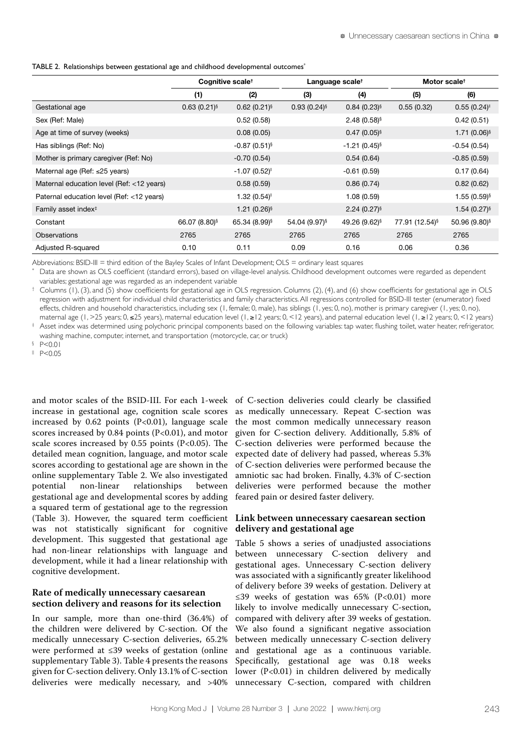TABLE 2. Relationships between gestational age and childhood developmental outcomes<sup>\*</sup>

|                                           | Cognitive scale <sup>†</sup> |                            | Language scale <sup>†</sup> |                           | Motor scale <sup>t</sup>   |                           |
|-------------------------------------------|------------------------------|----------------------------|-----------------------------|---------------------------|----------------------------|---------------------------|
|                                           | (1)                          | (2)                        | (3)                         | (4)                       | (5)                        | (6)                       |
| Gestational age                           | $0.63(0.21)$ <sup>§</sup>    | $0.62(0.21)^{5}$           | $0.93(0.24)$ <sup>§</sup>   | $0.84(0.23)^{5}$          | 0.55(0.32)                 | 0.55(0.24)                |
| Sex (Ref: Male)                           |                              | 0.52(0.58)                 |                             | $2.48(0.58)^{6}$          |                            | 0.42(0.51)                |
| Age at time of survey (weeks)             |                              | 0.08(0.05)                 |                             | $0.47(0.05)$ <sup>§</sup> |                            | $1.71(0.06)$ <sup>§</sup> |
| Has siblings (Ref: No)                    |                              | $-0.87(0.51)$ <sup>§</sup> |                             | $-1.21(0.45)^{6}$         | $-0.54(0.54)$              |                           |
| Mother is primary caregiver (Ref: No)     |                              | $-0.70(0.54)$              |                             | 0.54(0.64)                |                            | $-0.85(0.59)$             |
| Maternal age (Ref: $\leq$ 25 years)       |                              | $-1.07(0.52)^{n}$          |                             | $-0.61(0.59)$             |                            | 0.17(0.64)                |
| Maternal education level (Ref: <12 years) |                              | 0.58(0.59)                 |                             | 0.86(0.74)                |                            | 0.82(0.62)                |
| Paternal education level (Ref: <12 years) |                              | 1.32(0.54)                 |                             | 1.08(0.59)                |                            | $1.55(0.59)^{$            |
| Family asset index <sup>#</sup>           |                              | $1.21(0.26)$ <sup>§</sup>  |                             | $2.24(0.27)^{5}$          |                            | $1.54(0.27)^{s}$          |
| Constant                                  | 66.07 (8.80)§                | 65.34 (8.99) <sup>§</sup>  | 54.04 (9.97) <sup>§</sup>   | 49.26 (9.62) <sup>§</sup> | 77.91 (12.54) <sup>§</sup> | 50.96 (9.80) <sup>§</sup> |
| <b>Observations</b>                       | 2765                         | 2765                       | 2765                        | 2765                      | 2765                       | 2765                      |
| Adjusted R-squared                        | 0.10                         | 0.11                       | 0.09                        | 0.16                      | 0.06                       | 0.36                      |

Abbreviations: BSID-III = third edition of the Bayley Scales of Infant Development; OLS = ordinary least squares

\* Data are shown as OLS coefficient (standard errors), based on village-level analysis. Childhood development outcomes were regarded as dependent variables; gestational age was regarded as an independent variable

† Columns (1), (3), and (5) show coefficients for gestational age in OLS regression. Columns (2), (4), and (6) show coefficients for gestational age in OLS regression with adjustment for individual child characteristics and family characteristics.All regressions controlled for BSID-III tester (enumerator) fixed effects, children and household characteristics, including sex (1, female; 0, male), has siblings (1, yes; 0, no), mother is primary caregiver (1, yes; 0, no), maternal age (1, >25 years; 0, ≤25 years), maternal education level (1, ≥12 years; 0, <12 years), and paternal education level (1, ≥12 years; 0, <12 years)

 $^\ddag$  Asset index was determined using polychoric principal components based on the following variables: tap water, flushing toilet, water heater, refrigerator, washing machine, computer, internet, and transportation (motorcycle, car, or truck)

§ P<0.01

|| P<0.05

and motor scales of the BSID-III. For each 1-week of C-section deliveries could clearly be classified increase in gestational age, cognition scale scores increased by  $0.62$  points (P<0.01), language scale scores increased by  $0.84$  points (P<0.01), and motor scale scores increased by  $0.55$  points (P<0.05). The detailed mean cognition, language, and motor scale scores according to gestational age are shown in the online supplementary Table 2. We also investigated<br>potential non-linear relationships between relationships between gestational age and developmental scores by adding a squared term of gestational age to the regression (Table 3). However, the squared term coefficient was not statistically significant for cognitive development. This suggested that gestational age had non-linear relationships with language and development, while it had a linear relationship with cognitive development.

# **Rate of medically unnecessary caesarean section delivery and reasons for its selection**

In our sample, more than one-third (36.4%) of the children were delivered by C-section. Of the medically unnecessary C-section deliveries, 65.2% were performed at ≤39 weeks of gestation (online supplementary Table 3). Table 4 presents the reasons given for C-section delivery. Only 13.1% of C-section deliveries were medically necessary, and >40%

as medically unnecessary. Repeat C-section was the most common medically unnecessary reason given for C-section delivery. Additionally, 5.8% of C-section deliveries were performed because the expected date of delivery had passed, whereas 5.3% of C-section deliveries were performed because the amniotic sac had broken. Finally, 4.3% of C-section deliveries were performed because the mother feared pain or desired faster delivery.

### **Link between unnecessary caesarean section delivery and gestational age**

Table 5 shows a series of unadjusted associations between unnecessary C-section delivery and gestational ages. Unnecessary C-section delivery was associated with a significantly greater likelihood of delivery before 39 weeks of gestation. Delivery at ≤39 weeks of gestation was  $65%$  (P<0.01) more likely to involve medically unnecessary C-section, compared with delivery after 39 weeks of gestation. We also found a significant negative association between medically unnecessary C-section delivery and gestational age as a continuous variable. Specifically, gestational age was 0.18 weeks lower (P<0.01) in children delivered by medically unnecessary C-section, compared with children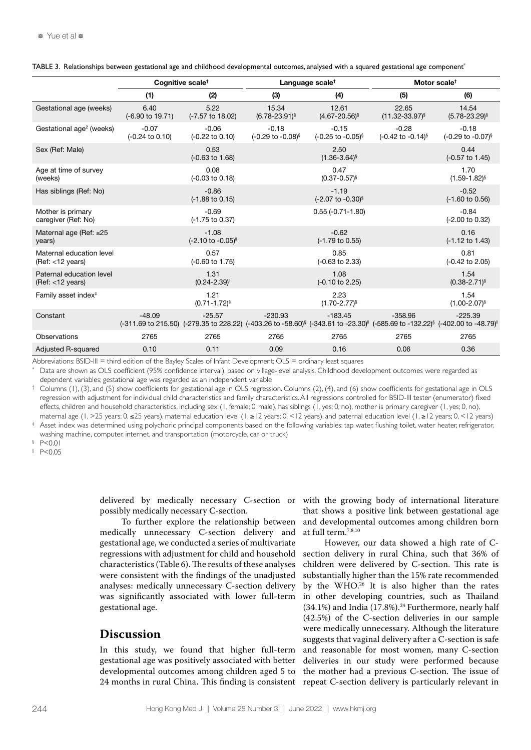|                                                         | Cognitive scale <sup>t</sup>          |                                       |                                                      | Language scale <sup>t</sup>                          | Motor scale <sup>t</sup>                                                                                                                                                                                                                                |                                          |  |
|---------------------------------------------------------|---------------------------------------|---------------------------------------|------------------------------------------------------|------------------------------------------------------|---------------------------------------------------------------------------------------------------------------------------------------------------------------------------------------------------------------------------------------------------------|------------------------------------------|--|
|                                                         | (1)                                   | (2)                                   | (3)                                                  | (4)                                                  | (5)                                                                                                                                                                                                                                                     | (6)                                      |  |
| Gestational age (weeks)                                 | 6.40<br>(-6.90 to 19.71)              | 5.22<br>(-7.57 to 18.02)              | 15.34<br>$(6.78 - 23.91)^{6}$                        | 12.61<br>$(4.67 - 20.56)^{s}$                        | 22.65<br>$(11.32 - 33.97)^{6}$                                                                                                                                                                                                                          | 14.54<br>$(5.78 - 23.29)^{6}$            |  |
| Gestational age <sup>2</sup> (weeks)                    | $-0.07$<br>$(-0.24 \text{ to } 0.10)$ | $-0.06$<br>$(-0.22 \text{ to } 0.10)$ | $-0.18$<br>$(-0.29 \text{ to } -0.08)^{\frac{5}{3}}$ | $-0.15$<br>$(-0.25 \text{ to } -0.05)^{\frac{5}{3}}$ | $-0.28$<br>$(-0.42 \text{ to } -0.14)^{\S}$                                                                                                                                                                                                             | $-0.18$<br>(-0.29 to -0.07) <sup>§</sup> |  |
| Sex (Ref: Male)                                         |                                       | 0.53<br>$(-0.63 \text{ to } 1.68)$    |                                                      | 2.50<br>$(1.36 - 3.64)^{6}$                          |                                                                                                                                                                                                                                                         | 0.44<br>(-0.57 to 1.45)                  |  |
| Age at time of survey<br>(weeks)                        |                                       | 0.08<br>(-0.03 to 0.18)               |                                                      | 0.47<br>$(0.37 - 0.57)^{$                            |                                                                                                                                                                                                                                                         | 1.70<br>$(1.59 - 1.82)^{6}$              |  |
| Has siblings (Ref: No)                                  |                                       | $-0.86$<br>$(-1.88 \text{ to } 0.15)$ |                                                      | $-1.19$<br>(-2.07 to -0.30) <sup>§</sup>             |                                                                                                                                                                                                                                                         | $-0.52$<br>$(-1.60 \text{ to } 0.56)$    |  |
| Mother is primary<br>caregiver (Ref: No)                |                                       | $-0.69$<br>$(-1.75 \text{ to } 0.37)$ |                                                      | $0.55(-0.71-1.80)$                                   |                                                                                                                                                                                                                                                         | $-0.84$<br>(-2.00 to 0.32)               |  |
| Maternal age (Ref: $\leq$ 25<br>years)                  |                                       | $-1.08$<br>(-2.10 to -0.05)           |                                                      | $-0.62$<br>(-1.79 to 0.55)                           |                                                                                                                                                                                                                                                         | 0.16<br>$(-1.12 \text{ to } 1.43)$       |  |
| Maternal education level<br>$(Ref: < 12 \text{ years})$ |                                       | 0.57<br>(-0.60 to 1.75)               |                                                      | 0.85<br>(-0.63 to 2.33)                              |                                                                                                                                                                                                                                                         | 0.81<br>(-0.42 to 2.05)                  |  |
| Paternal education level<br>$(Ref: < 12 \text{ years})$ |                                       | 1.31<br>$(0.24 - 2.39)$               |                                                      | 1.08<br>(-0.10 to 2.25)                              |                                                                                                                                                                                                                                                         | 1.54<br>$(0.38 - 2.71)$ <sup>§</sup>     |  |
| Family asset index <sup>#</sup>                         |                                       | 1.21<br>$(0.71 - 1.72)^{6}$           |                                                      | 2.23<br>$(1.70 - 2.77)^{6}$                          |                                                                                                                                                                                                                                                         | 1.54<br>$(1.00 - 2.07)^{$                |  |
| Constant                                                | $-48.09$                              | $-25.57$                              | $-230.93$                                            | $-183.45$                                            | $-358.96$<br>$(-311.69$ to 215.50) $(-279.35$ to 228.22) $(-403.26$ to $-58.60)$ <sup>§</sup> $(-343.61$ to $-23.30)$ <sup><math>\parallel</math></sup> $(-585.69$ to $-132.22)$ <sup>§</sup> $(-402.00$ to $-48.79)$ <sup><math>\parallel</math></sup> | $-225.39$                                |  |
| Observations                                            | 2765                                  | 2765                                  | 2765                                                 | 2765                                                 | 2765                                                                                                                                                                                                                                                    | 2765                                     |  |
| <b>Adjusted R-squared</b>                               | 0.10                                  | 0.11                                  | 0.09                                                 | 0.16                                                 | 0.06                                                                                                                                                                                                                                                    | 0.36                                     |  |

TABLE 3. Relationships between gestational age and childhood developmental outcomes, analysed with a squared gestational age component\*

Abbreviations: BSID-III = third edition of the Bayley Scales of Infant Development; OLS = ordinary least squares

\* Data are shown as OLS coefficient (95% confidence interval), based on village-level analysis. Childhood development outcomes were regarded as dependent variables; gestational age was regarded as an independent variable

† Columns (1), (3), and (5) show coefficients for gestational age in OLS regression. Columns (2), (4), and (6) show coefficients for gestational age in OLS regression with adjustment for individual child characteristics and family characteristics.All regressions controlled for BSID-III tester (enumerator) fixed effects, children and household characteristics, including sex (1, female; 0, male), has siblings (1, yes; 0, no), mother is primary caregiver (1, yes; 0, no), maternal age (1, >25 years; 0, ≤25 years), maternal education level (1, ≥12 years; 0, <12 years), and paternal education level (1, ≥12 years; 0, <12 years)

‡ Asset index was determined using polychoric principal components based on the following variables: tap water, flushing toilet, water heater, refrigerator, washing machine, computer, internet, and transportation (motorcycle, car, or truck)

 $P < 0.01$ 

|| P<0.05

delivered by medically necessary C-section or possibly medically necessary C-section.

To further explore the relationship between medically unnecessary C-section delivery and gestational age, we conducted a series of multivariate regressions with adjustment for child and household characteristics (Table 6). The results of these analyses were consistent with the findings of the unadjusted analyses: medically unnecessary C-section delivery was significantly associated with lower full-term gestational age.

# **Discussion**

In this study, we found that higher full-term gestational age was positively associated with better developmental outcomes among children aged 5 to 24 months in rural China. This finding is consistent with the growing body of international literature that shows a positive link between gestational age and developmental outcomes among children born at full term.7,8,10

However, our data showed a high rate of Csection delivery in rural China, such that 36% of children were delivered by C-section. This rate is substantially higher than the 15% rate recommended by the WHO.<sup>26</sup> It is also higher than the rates in other developing countries, such as Thailand  $(34.1\%)$  and India  $(17.8\%)$ .<sup>24</sup> Furthermore, nearly half (42.5%) of the C-section deliveries in our sample were medically unnecessary. Although the literature suggests that vaginal delivery after a C-section is safe and reasonable for most women, many C-section deliveries in our study were performed because the mother had a previous C-section. The issue of repeat C-section delivery is particularly relevant in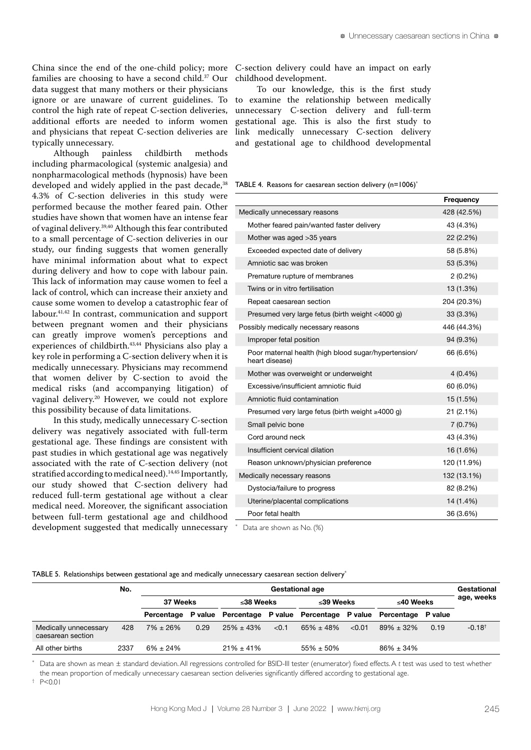China since the end of the one-child policy; more families are choosing to have a second child.<sup>37</sup> Our data suggest that many mothers or their physicians ignore or are unaware of current guidelines. To control the high rate of repeat C-section deliveries, additional efforts are needed to inform women and physicians that repeat C-section deliveries are typically unnecessary.

Although painless childbirth methods including pharmacological (systemic analgesia) and nonpharmacological methods (hypnosis) have been developed and widely applied in the past decade,<sup>38</sup> 4.3% of C-section deliveries in this study were performed because the mother feared pain. Other studies have shown that women have an intense fear of vaginal delivery.39,40 Although this fear contributed to a small percentage of C-section deliveries in our study, our finding suggests that women generally have minimal information about what to expect during delivery and how to cope with labour pain. This lack of information may cause women to feel a lack of control, which can increase their anxiety and cause some women to develop a catastrophic fear of labour.41,42 In contrast, communication and support between pregnant women and their physicians can greatly improve women's perceptions and experiences of childbirth.<sup>43,44</sup> Physicians also play a key role in performing a C-section delivery when it is medically unnecessary. Physicians may recommend that women deliver by C-section to avoid the medical risks (and accompanying litigation) of vaginal delivery.20 However, we could not explore this possibility because of data limitations.

In this study, medically unnecessary C-section delivery was negatively associated with full-term gestational age. These findings are consistent with past studies in which gestational age was negatively associated with the rate of C-section delivery (not stratified according to medical need).<sup>14,45</sup> Importantly, our study showed that C-section delivery had reduced full-term gestational age without a clear medical need. Moreover, the significant association between full-term gestational age and childhood development suggested that medically unnecessary \* Data are shown as No. (%)

C-section delivery could have an impact on early childhood development.

To our knowledge, this is the first study to examine the relationship between medically unnecessary C-section delivery and full-term gestational age. This is also the first study to link medically unnecessary C-section delivery and gestational age to childhood developmental

TABLE 4. Reasons for caesarean section delivery (n=1006)<sup>\*</sup>

|                                                                        | Frequency   |
|------------------------------------------------------------------------|-------------|
| Medically unnecessary reasons                                          | 428 (42.5%) |
| Mother feared pain/wanted faster delivery                              | 43 (4.3%)   |
| Mother was aged > 35 years                                             | 22 (2.2%)   |
| Exceeded expected date of delivery                                     | 58 (5.8%)   |
| Amniotic sac was broken                                                | 53 (5.3%)   |
| Premature rupture of membranes                                         | $2(0.2\%)$  |
| Twins or in vitro fertilisation                                        | 13 (1.3%)   |
| Repeat caesarean section                                               | 204 (20.3%) |
| Presumed very large fetus (birth weight <4000 g)                       | 33 (3.3%)   |
| Possibly medically necessary reasons                                   | 446 (44.3%) |
| Improper fetal position                                                | 94 (9.3%)   |
| Poor maternal health (high blood sugar/hypertension/<br>heart disease) | 66 (6.6%)   |
| Mother was overweight or underweight                                   | $4(0.4\%)$  |
| Excessive/insufficient amniotic fluid                                  | 60 (6.0%)   |
| Amniotic fluid contamination                                           | 15 (1.5%)   |
| Presumed very large fetus (birth weight $\geq 4000$ g)                 | 21(2.1%)    |
| Small pelvic bone                                                      | 7(0.7%)     |
| Cord around neck                                                       | 43 (4.3%)   |
| Insufficient cervical dilation                                         | 16 (1.6%)   |
| Reason unknown/physician preference                                    | 120 (11.9%) |
| Medically necessary reasons                                            | 132 (13.1%) |
| Dystocia/failure to progress                                           | 82 (8.2%)   |
| Uterine/placental complications                                        | 14 (1.4%)   |
| Poor fetal health                                                      | 36 (3.6%)   |
|                                                                        |             |

TABLE 5. Relationships between gestational age and medically unnecessary caesarean section delivery\*

|                                            | No.  |                |                       |                                                                             |           | <b>Gestational age</b> |           |                 |            | Gestational          |
|--------------------------------------------|------|----------------|-----------------------|-----------------------------------------------------------------------------|-----------|------------------------|-----------|-----------------|------------|----------------------|
|                                            |      |                | 37 Weeks<br>≤38 Weeks |                                                                             | ≤39 Weeks |                        | ≤40 Weeks |                 | age, weeks |                      |
|                                            |      |                |                       | Percentage P value Percentage P value Percentage P value Percentage P value |           |                        |           |                 |            |                      |
| Medically unnecessary<br>caesarean section | 428  | $7\% \pm 26\%$ | 0.29                  | $25\% \pm 43\%$                                                             | < 0.1     | $65\% \pm 48\%$        | < 0.01    | $89\% \pm 32\%$ | 0.19       | $-0.18$ <sup>t</sup> |
| All other births                           | 2337 | $6\% \pm 24\%$ |                       | $21\% \pm 41\%$                                                             |           | $55\% \pm 50\%$        |           | $86\% \pm 34\%$ |            |                      |

\* Data are shown as mean ± standard deviation.All regressions controlled for BSID-III tester (enumerator) fixed effects.A *t* test was used to test whether the mean proportion of medically unnecessary caesarean section deliveries significantly differed according to gestational age.

† P<0.01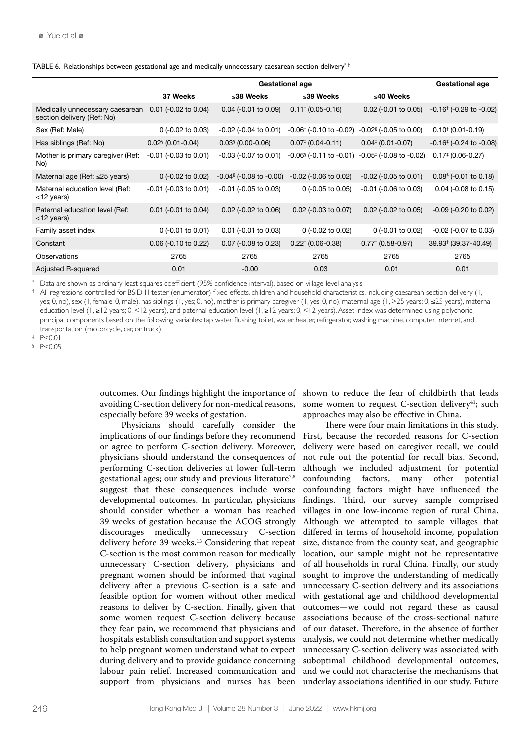|  |  | TABLE 6. Relationships between gestational age and medically unnecessary caesarean section delivery <sup>++</sup> |  |  |
|--|--|-------------------------------------------------------------------------------------------------------------------|--|--|
|--|--|-------------------------------------------------------------------------------------------------------------------|--|--|

|                                                               |                                 | <b>Gestational age</b>                      |                                                            |                                         |                                                            |
|---------------------------------------------------------------|---------------------------------|---------------------------------------------|------------------------------------------------------------|-----------------------------------------|------------------------------------------------------------|
|                                                               | 37 Weeks                        | ≤38 Weeks                                   | ≤39 Weeks                                                  | ≤40 Weeks                               |                                                            |
| Medically unnecessary caesarean<br>section delivery (Ref: No) | $0.01$ (-0.02 to 0.04)          | $0.04$ (-0.01 to 0.09)                      | $0.11^{+}$ (0.05-0.16)                                     | $0.02$ (-0.01 to 0.05)                  | $-0.16$ <sup><math>\pm</math></sup> ( $-0.29$ to $-0.02$ ) |
| Sex (Ref: Male)                                               | $0$ (-0.02 to 0.03)             | $-0.02$ ( $-0.04$ to 0.01)                  | $-0.06$ <sup><math>\pm</math></sup> ( $-0.10$ to $-0.02$ ) | $-0.02$ <sup>§</sup> ( $-0.05$ to 0.00) | $0.10^{+}$ (0.01-0.19)                                     |
| Has siblings (Ref: No)                                        | $0.02$ <sup>§</sup> (0.01-0.04) | $0.03$ $(0.00 - 0.06)$                      | $0.07$ <sup>#</sup> (0.04-0.11)                            | $0.04$ <sup>#</sup> (0.01-0.07)         | $-0.16^{\ddagger}$ (-0.24 to -0.08)                        |
| Mother is primary caregiver (Ref:<br>No)                      | $-0.01$ ( $-0.03$ to 0.01)      | $-0.03$ ( $-0.07$ to 0.01)                  | $-0.06$ <sup>§</sup> ( $-0.11$ to $-0.01$ )                | $-0.05^{\ddagger}$ (-0.08 to -0.02)     | $0.17$ <sup>#</sup> (0.06-0.27)                            |
| Maternal age (Ref: ≤25 years)                                 | 0 $(-0.02 \text{ to } 0.02)$    | $-0.04$ <sup>§</sup> ( $-0.08$ to $-0.00$ ) | $-0.02$ ( $-0.06$ to 0.02)                                 | $-0.02$ ( $-0.05$ to 0.01)              | $0.08$ <sup>§</sup> (-0.01 to 0.18)                        |
| Maternal education level (Ref:<br>$<$ 12 years)               | $-0.01$ ( $-0.03$ to $0.01$ )   | $-0.01$ ( $-0.05$ to 0.03)                  | $0$ (-0.05 to 0.05)                                        | $-0.01$ ( $-0.06$ to 0.03)              | $0.04$ (-0.08 to 0.15)                                     |
| Paternal education level (Ref:<br><12 years)                  | $0.01$ (-0.01 to 0.04)          | $0.02$ (-0.02 to 0.06)                      | $0.02$ (-0.03 to 0.07)                                     | $0.02$ (-0.02 to 0.05)                  | $-0.09$ ( $-0.20$ to $0.02$ )                              |
| Family asset index                                            | $0$ (-0.01 to 0.01)             | $0.01$ (-0.01 to 0.03)                      | $0$ (-0.02 to 0.02)                                        | $0$ (-0.01 to 0.02)                     | $-0.02$ ( $-0.07$ to 0.03)                                 |
| Constant                                                      | $0.06$ (-0.10 to 0.22)          | 0.07 (-0.08 to 0.23)                        | $0.22^{\ddagger}$ (0.06-0.38)                              | $0.77$ <sup>#</sup> (0.58-0.97)         | 39.93 (39.37-40.49)                                        |
| Observations                                                  | 2765                            | 2765                                        | 2765                                                       | 2765                                    | 2765                                                       |
| Adjusted R-squared                                            | 0.01                            | $-0.00$                                     | 0.03                                                       | 0.01                                    | 0.01                                                       |

\* Data are shown as ordinary least squares coefficient (95% confidence interval), based on village-level analysis

 $^+$  All regressions controlled for BSID-III tester (enumerator) fixed effects, children and household characteristics, including caesarean section delivery (1, yes; 0, no), sex (1, female; 0, male), has siblings (1, yes; 0, no), mother is primary caregiver (1, yes; 0, no), maternal age (1, >25 years; 0, ≤25 years), maternal education level (1, ≥12 years; 0, <12 years), and paternal education level (1, ≥12 years; 0, <12 years). Asset index was determined using polychoric principal components based on the following variables: tap water, flushing toilet, water heater, refrigerator, washing machine, computer, internet, and transportation (motorcycle, car, or truck)

 $P < 0.01$ 

§ P<0.05

outcomes. Our findings highlight the importance of avoiding C-section delivery for non-medical reasons, especially before 39 weeks of gestation.

Physicians should carefully consider the implications of our findings before they recommend or agree to perform C-section delivery. Moreover, physicians should understand the consequences of performing C-section deliveries at lower full-term gestational ages; our study and previous literature<sup>7,8</sup> suggest that these consequences include worse developmental outcomes. In particular, physicians should consider whether a woman has reached 39 weeks of gestation because the ACOG strongly discourages medically unnecessary C-section delivery before 39 weeks.<sup>13</sup> Considering that repeat C-section is the most common reason for medically unnecessary C-section delivery, physicians and pregnant women should be informed that vaginal delivery after a previous C-section is a safe and feasible option for women without other medical reasons to deliver by C-section. Finally, given that some women request C-section delivery because they fear pain, we recommend that physicians and hospitals establish consultation and support systems to help pregnant women understand what to expect during delivery and to provide guidance concerning labour pain relief. Increased communication and support from physicians and nurses has been

shown to reduce the fear of childbirth that leads some women to request C-section delivery $4$ <sup>1</sup>; such approaches may also be effective in China.

There were four main limitations in this study. First, because the recorded reasons for C-section delivery were based on caregiver recall, we could not rule out the potential for recall bias. Second, although we included adjustment for potential confounding factors, many other potential confounding factors might have influenced the findings. Third, our survey sample comprised villages in one low-income region of rural China. Although we attempted to sample villages that differed in terms of household income, population size, distance from the county seat, and geographic location, our sample might not be representative of all households in rural China. Finally, our study sought to improve the understanding of medically unnecessary C-section delivery and its associations with gestational age and childhood developmental outcomes—we could not regard these as causal associations because of the cross-sectional nature of our dataset. Therefore, in the absence of further analysis, we could not determine whether medically unnecessary C-section delivery was associated with suboptimal childhood developmental outcomes, and we could not characterise the mechanisms that underlay associations identified in our study. Future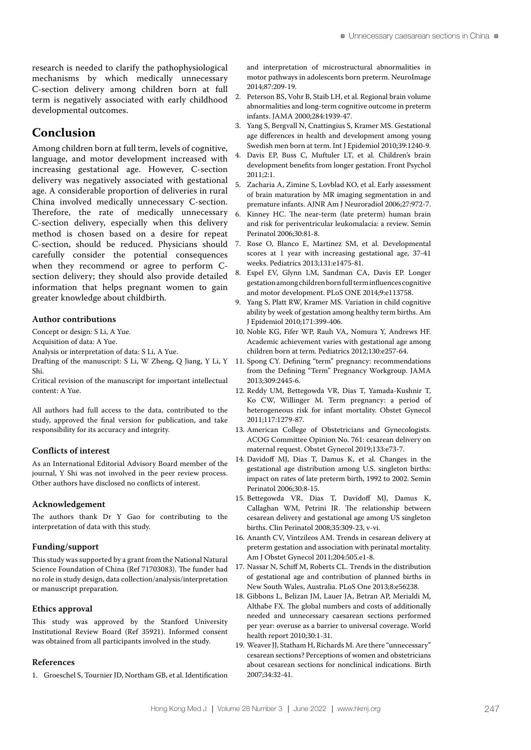research is needed to clarify the pathophysiological mechanisms by which medically unnecessary C-section delivery among children born at full term is negatively associated with early childhood developmental outcomes.

# **Conclusion**

Among children born at full term, levels of cognitive, language, and motor development increased with increasing gestational age. However, C-section delivery was negatively associated with gestational age. A considerable proportion of deliveries in rural China involved medically unnecessary C-section. Therefore, the rate of medically unnecessary 6 C-section delivery, especially when this delivery method is chosen based on a desire for repeat C-section, should be reduced. Physicians should carefully consider the potential consequences when they recommend or agree to perform Csection delivery; they should also provide detailed information that helps pregnant women to gain greater knowledge about childbirth.

#### **Author contributions**

Concept or design: S Li, A Yue.

Acquisition of data: A Yue.

Analysis or interpretation of data: S Li, A Yue.

Shi.

Critical revision of the manuscript for important intellectual content: A Yue.

All authors had full access to the data, contributed to the study, approved the final version for publication, and take responsibility for its accuracy and integrity.

# **Conflicts of interest**

As an International Editorial Advisory Board member of the journal, Y Shi was not involved in the peer review process. Other authors have disclosed no conflicts of interest.

#### **Acknowledgement**

The authors thank Dr Y Gao for contributing to the interpretation of data with this study.

#### **Funding/support**

This study was supported by a grant from the National Natural Science Foundation of China (Ref 71703083). The funder had no role in study design, data collection/analysis/interpretation or manuscript preparation.

#### **Ethics approval**

This study was approved by the Stanford University Institutional Review Board (Ref 35921). Informed consent was obtained from all participants involved in the study.

#### **References**

1. Groeschel S, Tournier JD, Northam GB, et al. Identification

and interpretation of microstructural abnormalities in motor pathways in adolescents born preterm. NeuroImage 2014;87:209-19.

- 2. Peterson BS, Vohr B, Staib LH, et al. Regional brain volume abnormalities and long-term cognitive outcome in preterm infants. JAMA 2000;284:1939-47.
- 3. Yang S, Bergvall N, Cnattingius S, Kramer MS. Gestational age differences in health and development among young Swedish men born at term. Int J Epidemiol 2010;39:1240-9.
- 4. Davis EP, Buss C, Muftuler LT, et al. Children's brain development benefits from longer gestation. Front Psychol 2011;2:1.
- 5. Zacharia A, Zimine S, Lovblad KO, et al. Early assessment of brain maturation by MR imaging segmentation in and premature infants. AJNR Am J Neuroradiol 2006;27:972-7.
- Kinney HC. The near-term (late preterm) human brain and risk for periventricular leukomalacia: a review. Semin Perinatol 2006;30:81-8.
- 7. Rose O, Blanco E, Martinez SM, et al. Developmental scores at 1 year with increasing gestational age, 37-41 weeks. Pediatrics 2013;131:e1475-81.
- Espel EV, Glynn LM, Sandman CA, Davis EP. Longer gestation among children born full term influences cognitive and motor development. PLoS ONE 2014;9:e113758.
- 9. Yang S, Platt RW, Kramer MS. Variation in child cognitive ability by week of gestation among healthy term births. Am J Epidemiol 2010;171:399-406.
- 10. Noble KG, Fifer WP, Rauh VA, Nomura Y, Andrews HF. Academic achievement varies with gestational age among children born at term. Pediatrics 2012;130:e257-64.
- Drafting of the manuscript: S Li, W Zheng, Q Jiang, Y Li, Y 11. Spong CY. Defining "term" pregnancy: recommendations from the Defining "Term" Pregnancy Workgroup. JAMA 2013;309:2445-6.
	- 12. Reddy UM, Bettegowda VR, Dias T, Yamada-Kushnir T, Ko CW, Willinger M. Term pregnancy: a period of heterogeneous risk for infant mortality. Obstet Gynecol 2011;117:1279-87.
	- 13. American College of Obstetricians and Gynecologists. ACOG Committee Opinion No. 761: cesarean delivery on maternal request. Obstet Gynecol 2019;133:e73-7.
	- 14. Davidoff MJ, Dias T, Damus K, et al. Changes in the gestational age distribution among U.S. singleton births: impact on rates of late preterm birth, 1992 to 2002. Semin Perinatol 2006;30:8-15.
	- 15. Bettegowda VR, Dias T, Davidoff MJ, Damus K, Callaghan WM, Petrini JR. The relationship between cesarean delivery and gestational age among US singleton births. Clin Perinatol 2008;35:309-23, v-vi.
	- 16. Ananth CV, Vintzileos AM. Trends in cesarean delivery at preterm gestation and association with perinatal mortality. Am J Obstet Gynecol 2011;204:505.e1-8.
	- 17. Nassar N, Schiff M, Roberts CL. Trends in the distribution of gestational age and contribution of planned births in New South Wales, Australia. PLoS One 2013;8:e56238.
	- 18. Gibbons L, Belizan JM, Lauer JA, Betran AP, Merialdi M, Althabe FX. The global numbers and costs of additionally needed and unnecessary caesarean sections performed per year: overuse as a barrier to universal coverage. World health report 2010;30:1-31.
	- 19. Weaver JJ, Statham H, Richards M. Are there "unnecessary" cesarean sections? Perceptions of women and obstetricians about cesarean sections for nonclinical indications. Birth 2007;34:32-41.